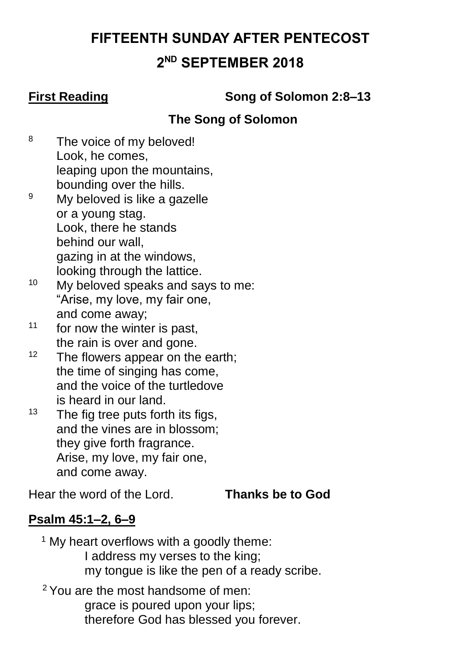# **FIFTEENTH SUNDAY AFTER PENTECOST**

# **2 ND SEPTEMBER 2018**

**First Reading Song of Solomon 2:8–13**

# **The Song of Solomon**

- <sup>8</sup> The voice of my beloved! Look, he comes, leaping upon the mountains, bounding over the hills.
- <sup>9</sup> My beloved is like a gazelle or a young stag. Look, there he stands behind our wall, gazing in at the windows, looking through the lattice.
- <sup>10</sup> My beloved speaks and says to me: "Arise, my love, my fair one, and come away;
- $11$  for now the winter is past. the rain is over and gone.
- $12$  The flowers appear on the earth; the time of singing has come, and the voice of the turtledove is heard in our land.
- $13$  The fig tree puts forth its figs, and the vines are in blossom; they give forth fragrance. Arise, my love, my fair one, and come away.

Hear the word of the Lord. **Thanks be to God**

# **Psalm 45:1–2, 6–9**

 $1$  My heart overflows with a goodly theme: I address my verses to the king; my tongue is like the pen of a ready scribe.

<sup>2</sup> You are the most handsome of men: grace is poured upon your lips; therefore God has blessed you forever.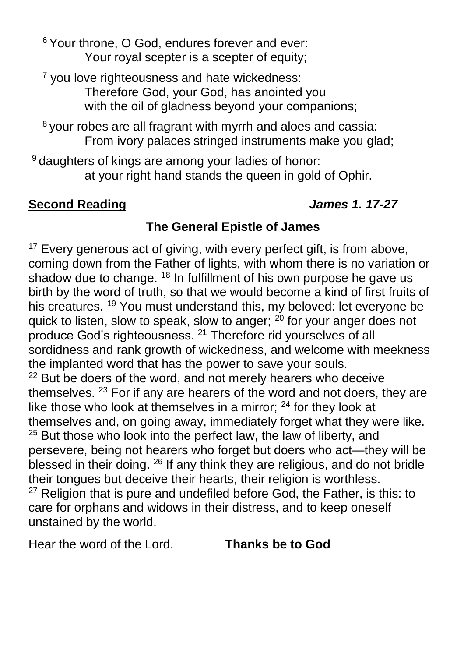<sup>6</sup> Your throne, O God, endures forever and ever: Your royal scepter is a scepter of equity;

<sup>7</sup> you love righteousness and hate wickedness: Therefore God, your God, has anointed you with the oil of gladness beyond your companions;

<sup>8</sup> your robes are all fragrant with myrrh and aloes and cassia: From ivory palaces stringed instruments make you glad;

<sup>9</sup> daughters of kings are among your ladies of honor: at your right hand stands the queen in gold of Ophir.

### **Second Reading** *James 1. 17-27*

# **The General Epistle of James**

<sup>17</sup> Every generous act of giving, with every perfect gift, is from above, coming down from the Father of lights, with whom there is no variation or shadow due to change. <sup>18</sup> In fulfillment of his own purpose he gave us birth by the word of truth, so that we would become a kind of first fruits of his creatures. <sup>19</sup> You must understand this, my beloved: let everyone be quick to listen, slow to speak, slow to anger;  $20$  for your anger does not produce God's righteousness. <sup>21</sup> Therefore rid yourselves of all sordidness and rank growth of wickedness, and welcome with meekness the implanted word that has the power to save your souls.  $22$  But be doers of the word, and not merely hearers who deceive themselves. <sup>23</sup> For if any are hearers of the word and not doers, they are like those who look at themselves in a mirror;  $24$  for they look at themselves and, on going away, immediately forget what they were like. <sup>25</sup> But those who look into the perfect law, the law of liberty, and persevere, being not hearers who forget but doers who act—they will be blessed in their doing. <sup>26</sup> If any think they are religious, and do not bridle their tongues but deceive their hearts, their religion is worthless.  $27$  Religion that is pure and undefiled before God, the Father, is this: to care for orphans and widows in their distress, and to keep oneself unstained by the world.

Hear the word of the Lord. **Thanks be to God**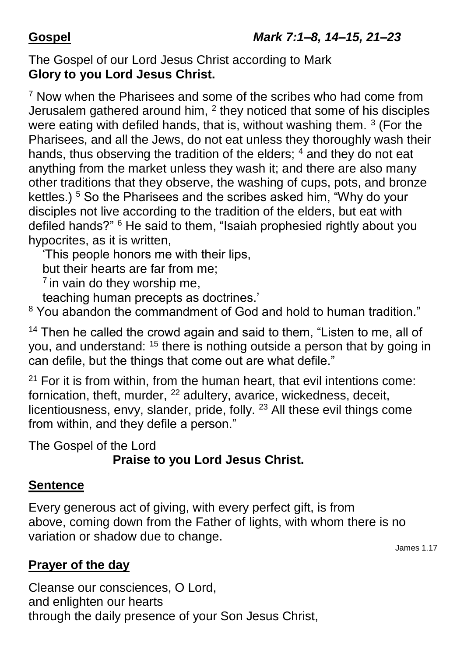The Gospel of our Lord Jesus Christ according to Mark **Glory to you Lord Jesus Christ.**

<sup>7</sup> Now when the Pharisees and some of the scribes who had come from Jerusalem gathered around him,  $^2$  they noticed that some of his disciples were eating with defiled hands, that is, without washing them.  $3$  (For the Pharisees, and all the Jews, do not eat unless they thoroughly wash their hands, thus observing the tradition of the elders;  $4$  and they do not eat anything from the market unless they wash it; and there are also many other traditions that they observe, the washing of cups, pots, and bronze kettles.) <sup>5</sup> So the Pharisees and the scribes asked him, "Why do your disciples not live according to the tradition of the elders, but eat with defiled hands?" <sup>6</sup> He said to them, "Isaiah prophesied rightly about you hypocrites, as it is written,

'This people honors me with their lips,

but their hearts are far from me;

 $<sup>7</sup>$  in vain do they worship me,</sup>

teaching human precepts as doctrines.'

<sup>8</sup> You abandon the commandment of God and hold to human tradition."

 $14$  Then he called the crowd again and said to them, "Listen to me, all of you, and understand: <sup>15</sup> there is nothing outside a person that by going in can defile, but the things that come out are what defile."

 $21$  For it is from within, from the human heart, that evil intentions come: fornication, theft, murder, <sup>22</sup> adultery, avarice, wickedness, deceit, licentiousness, envy, slander, pride, folly. <sup>23</sup> All these evil things come from within, and they defile a person."

The Gospel of the Lord

# **Praise to you Lord Jesus Christ.**

### **Sentence**

Every generous act of giving, with every perfect gift, is from above, coming down from the Father of lights, with whom there is no variation or shadow due to change.

James 1.17

### **Prayer of the day**

Cleanse our consciences, O Lord, and enlighten our hearts through the daily presence of your Son Jesus Christ,